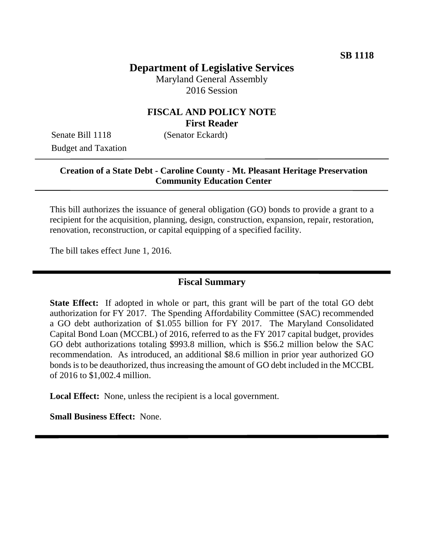# **Department of Legislative Services**

Maryland General Assembly 2016 Session

### **FISCAL AND POLICY NOTE First Reader**

Senate Bill 1118 (Senator Eckardt) Budget and Taxation

### **Creation of a State Debt - Caroline County - Mt. Pleasant Heritage Preservation Community Education Center**

This bill authorizes the issuance of general obligation (GO) bonds to provide a grant to a recipient for the acquisition, planning, design, construction, expansion, repair, restoration, renovation, reconstruction, or capital equipping of a specified facility.

The bill takes effect June 1, 2016.

#### **Fiscal Summary**

**State Effect:** If adopted in whole or part, this grant will be part of the total GO debt authorization for FY 2017. The Spending Affordability Committee (SAC) recommended a GO debt authorization of \$1.055 billion for FY 2017. The Maryland Consolidated Capital Bond Loan (MCCBL) of 2016, referred to as the FY 2017 capital budget, provides GO debt authorizations totaling \$993.8 million, which is \$56.2 million below the SAC recommendation. As introduced, an additional \$8.6 million in prior year authorized GO bonds is to be deauthorized, thus increasing the amount of GO debt included in the MCCBL of 2016 to \$1,002.4 million.

**Local Effect:** None, unless the recipient is a local government.

**Small Business Effect:** None.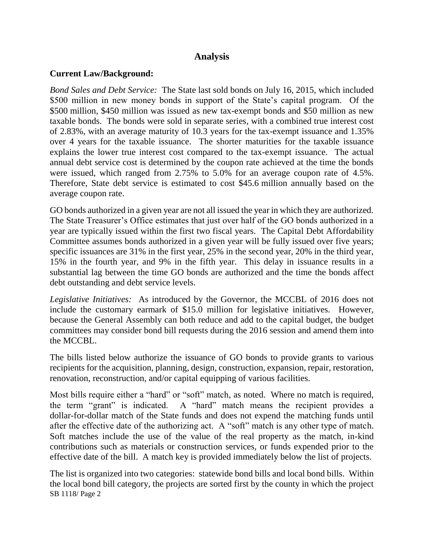### **Analysis**

### **Current Law/Background:**

*Bond Sales and Debt Service:* The State last sold bonds on July 16, 2015, which included \$500 million in new money bonds in support of the State's capital program. Of the \$500 million, \$450 million was issued as new tax-exempt bonds and \$50 million as new taxable bonds. The bonds were sold in separate series, with a combined true interest cost of 2.83%, with an average maturity of 10.3 years for the tax-exempt issuance and 1.35% over 4 years for the taxable issuance. The shorter maturities for the taxable issuance explains the lower true interest cost compared to the tax-exempt issuance. The actual annual debt service cost is determined by the coupon rate achieved at the time the bonds were issued, which ranged from 2.75% to 5.0% for an average coupon rate of 4.5%. Therefore, State debt service is estimated to cost \$45.6 million annually based on the average coupon rate.

GO bonds authorized in a given year are not all issued the year in which they are authorized. The State Treasurer's Office estimates that just over half of the GO bonds authorized in a year are typically issued within the first two fiscal years. The Capital Debt Affordability Committee assumes bonds authorized in a given year will be fully issued over five years; specific issuances are 31% in the first year, 25% in the second year, 20% in the third year, 15% in the fourth year, and 9% in the fifth year. This delay in issuance results in a substantial lag between the time GO bonds are authorized and the time the bonds affect debt outstanding and debt service levels.

*Legislative Initiatives:* As introduced by the Governor, the MCCBL of 2016 does not include the customary earmark of \$15.0 million for legislative initiatives. However, because the General Assembly can both reduce and add to the capital budget, the budget committees may consider bond bill requests during the 2016 session and amend them into the MCCBL.

The bills listed below authorize the issuance of GO bonds to provide grants to various recipients for the acquisition, planning, design, construction, expansion, repair, restoration, renovation, reconstruction, and/or capital equipping of various facilities.

Most bills require either a "hard" or "soft" match, as noted. Where no match is required, the term "grant" is indicated. A "hard" match means the recipient provides a dollar-for-dollar match of the State funds and does not expend the matching funds until after the effective date of the authorizing act. A "soft" match is any other type of match. Soft matches include the use of the value of the real property as the match, in-kind contributions such as materials or construction services, or funds expended prior to the effective date of the bill. A match key is provided immediately below the list of projects.

SB 1118/ Page 2 The list is organized into two categories: statewide bond bills and local bond bills. Within the local bond bill category, the projects are sorted first by the county in which the project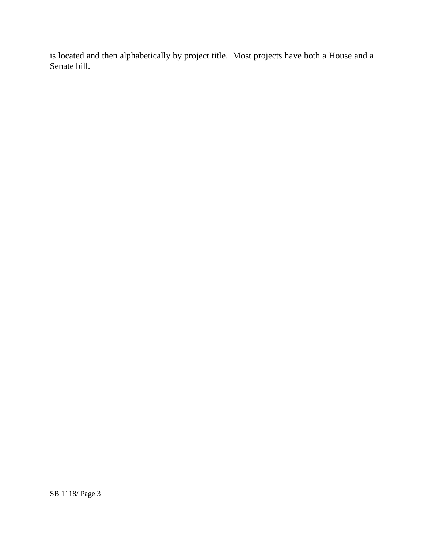is located and then alphabetically by project title. Most projects have both a House and a Senate bill.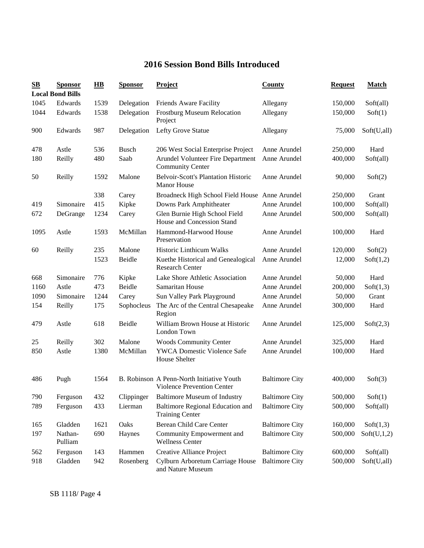## **2016 Session Bond Bills Introduced**

| $\mathbf{S}\mathbf{B}$ | <b>Sponsor</b><br><b>Local Bond Bills</b> | $\overline{HB}$ | <b>Sponsor</b> | <b>Project</b>                                                          | <b>County</b>         | <b>Request</b> | <b>Match</b> |
|------------------------|-------------------------------------------|-----------------|----------------|-------------------------------------------------------------------------|-----------------------|----------------|--------------|
| 1045                   | Edwards                                   | 1539            | Delegation     | Friends Aware Facility                                                  | Allegany              | 150,000        | Soft(all)    |
| 1044                   | Edwards                                   | 1538            | Delegation     | <b>Frostburg Museum Relocation</b><br>Project                           | Allegany              | 150,000        | Soft(1)      |
| 900                    | Edwards                                   | 987             | Delegation     | Lefty Grove Statue                                                      | Allegany              | 75,000         | Soft(U,all)  |
| 478                    | Astle                                     | 536             | <b>Busch</b>   | 206 West Social Enterprise Project                                      | Anne Arundel          | 250,000        | Hard         |
| 180                    | Reilly                                    | 480             | Saab           | Arundel Volunteer Fire Department<br><b>Community Center</b>            | Anne Arundel          | 400,000        | Soft(all)    |
| 50                     | Reilly                                    | 1592            | Malone         | <b>Belvoir-Scott's Plantation Historic</b><br><b>Manor House</b>        | Anne Arundel          | 90,000         | Soft(2)      |
|                        |                                           | 338             | Carey          | Broadneck High School Field House Anne Arundel                          |                       | 250,000        | Grant        |
| 419                    | Simonaire                                 | 415             | Kipke          | Downs Park Amphitheater                                                 | Anne Arundel          | 100,000        | Soft(all)    |
| 672                    | DeGrange                                  | 1234            | Carey          | Glen Burnie High School Field<br>House and Concession Stand             | Anne Arundel          | 500,000        | Soft(all)    |
| 1095                   | Astle                                     | 1593            | McMillan       | Hammond-Harwood House<br>Preservation                                   | Anne Arundel          | 100,000        | Hard         |
| 60                     | Reilly                                    | 235             | Malone         | Historic Linthicum Walks                                                | Anne Arundel          | 120,000        | Soft(2)      |
|                        |                                           | 1523            | Beidle         | Kuethe Historical and Genealogical<br><b>Research Center</b>            | Anne Arundel          | 12,000         | Soft(1,2)    |
| 668                    | Simonaire                                 | 776             | Kipke          | Lake Shore Athletic Association                                         | Anne Arundel          | 50,000         | Hard         |
| 1160                   | Astle                                     | 473             | Beidle         | Samaritan House                                                         | Anne Arundel          | 200,000        | Soft(1,3)    |
| 1090                   | Simonaire                                 | 1244            | Carey          | Sun Valley Park Playground                                              | Anne Arundel          | 50,000         | Grant        |
| 154                    | Reilly                                    | 175             | Sophocleus     | The Arc of the Central Chesapeake<br>Region                             | Anne Arundel          | 300,000        | Hard         |
| 479                    | Astle                                     | 618             | Beidle         | William Brown House at Historic<br>London Town                          | Anne Arundel          | 125,000        | Soft(2,3)    |
| 25                     | Reilly                                    | 302             | Malone         | <b>Woods Community Center</b>                                           | Anne Arundel          | 325,000        | Hard         |
| 850                    | Astle                                     | 1380            | McMillan       | <b>YWCA Domestic Violence Safe</b><br>House Shelter                     | Anne Arundel          | 100,000        | Hard         |
| 486                    | Pugh                                      | 1564            |                | B. Robinson A Penn-North Initiative Youth<br>Violence Prevention Center | <b>Baltimore City</b> | 400,000        | Soft(3)      |
| 790                    | Ferguson                                  | 432             | Clippinger     | <b>Baltimore Museum of Industry</b>                                     | <b>Baltimore City</b> | 500,000        | Soft(1)      |
| 789                    | Ferguson                                  | 433             | Lierman        | Baltimore Regional Education and<br><b>Training Center</b>              | <b>Baltimore City</b> | 500,000        | Soft(all)    |
| 165                    | Gladden                                   | 1621            | Oaks           | Berean Child Care Center                                                | <b>Baltimore City</b> | 160,000        | Soft(1,3)    |
| 197                    | Nathan-<br>Pulliam                        | 690             | Haynes         | Community Empowerment and<br><b>Wellness Center</b>                     | <b>Baltimore City</b> | 500,000        | Soft(U,1,2)  |
| 562                    | Ferguson                                  | 143             | Hammen         | Creative Alliance Project                                               | <b>Baltimore City</b> | 600,000        | Soft(all)    |
| 918                    | Gladden                                   | 942             | Rosenberg      | Cylburn Arboretum Carriage House<br>and Nature Museum                   | <b>Baltimore City</b> | 500,000        | Soft(U,all)  |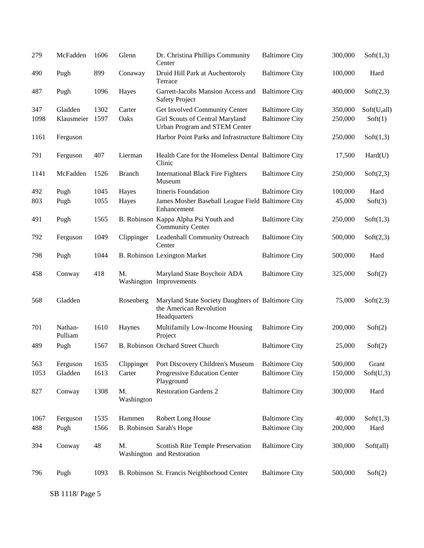| 279  | McFadden           | 1606 | Glenn            | Dr. Christina Phillips Community<br>Center                                                    | <b>Baltimore City</b> | 300,000 | Soft(1,3)   |
|------|--------------------|------|------------------|-----------------------------------------------------------------------------------------------|-----------------------|---------|-------------|
| 490  | Pugh               | 899  | Conaway          | Druid Hill Park at Auchentoroly<br>Terrace                                                    | <b>Baltimore City</b> | 100,000 | Hard        |
| 487  | Pugh               | 1096 | Hayes            | Garrett-Jacobs Mansion Access and<br><b>Safety Project</b>                                    | <b>Baltimore City</b> | 400,000 | Soft(2,3)   |
| 347  | Gladden            | 1302 | Carter           | Get Involved Community Center                                                                 | <b>Baltimore City</b> | 350,000 | Soft(U,all) |
| 1098 | Klausmeier         | 1597 | Oaks             | Girl Scouts of Central Maryland<br>Urban Program and STEM Center                              | <b>Baltimore City</b> | 250,000 | Soft(1)     |
| 1161 | Ferguson           |      |                  | Harbor Point Parks and Infrastructure Baltimore City                                          |                       | 250,000 | Soft(1,3)   |
| 791  | Ferguson           | 407  | Lierman          | Health Care for the Homeless Dental Baltimore City<br>Clinic                                  |                       | 17,500  | Hard(U)     |
| 1141 | McFadden           | 1526 | <b>Branch</b>    | <b>International Black Fire Fighters</b><br>Museum                                            | <b>Baltimore City</b> | 250,000 | Soft(2,3)   |
| 492  | Pugh               | 1045 | Hayes            | Itineris Foundation                                                                           | <b>Baltimore City</b> | 100,000 | Hard        |
| 803  | Pugh               | 1055 | Hayes            | James Mosher Baseball League Field Baltimore City<br>Enhancement                              |                       | 45,000  | Soft(3)     |
| 491  | Pugh               | 1565 |                  | B. Robinson Kappa Alpha Psi Youth and<br><b>Community Center</b>                              | <b>Baltimore City</b> | 250,000 | Soft(1,3)   |
| 792  | Ferguson           | 1049 | Clippinger       | Leadenhall Community Outreach<br>Center                                                       | <b>Baltimore City</b> | 500,000 | Soft(2,3)   |
| 798  | Pugh               | 1044 |                  | <b>B. Robinson Lexington Market</b>                                                           | <b>Baltimore City</b> | 500,000 | Hard        |
| 458  | Conway             | 418  | M.               | Maryland State Boychoir ADA<br>Washington Improvements                                        | <b>Baltimore City</b> | 325,000 | Soft(2)     |
| 568  | Gladden            |      | Rosenberg        | Maryland State Society Daughters of Baltimore City<br>the American Revolution<br>Headquarters |                       | 75,000  | Soft(2,3)   |
| 701  | Nathan-<br>Pulliam | 1610 | Haynes           | Multifamily Low-Income Housing<br>Project                                                     | <b>Baltimore City</b> | 200,000 | Soft(2)     |
| 489  | Pugh               | 1567 |                  | B. Robinson Orchard Street Church                                                             | <b>Baltimore City</b> | 25,000  | Soft(2)     |
| 563  | Ferguson           | 1635 | Clippinger       | Port Discovery Children's Museum                                                              | <b>Baltimore City</b> | 500,000 | Grant       |
| 1053 | Gladden            | 1613 | Carter           | Progressive Education Center<br>Playground                                                    | <b>Baltimore City</b> | 150,000 | Soft(U,3)   |
| 827  | Conway             | 1308 | M.<br>Washington | <b>Restoration Gardens 2</b>                                                                  | <b>Baltimore City</b> | 300,000 | Hard        |
| 1067 | Ferguson           | 1535 | Hammen           | Robert Long House                                                                             | <b>Baltimore City</b> | 40,000  | Soft(1,3)   |
| 488  | Pugh               | 1566 |                  | B. Robinson Sarah's Hope                                                                      | <b>Baltimore City</b> | 200,000 | Hard        |
|      |                    |      |                  |                                                                                               |                       |         |             |
| 394  | Conway             | 48   | M.               | Scottish Rite Temple Preservation<br>Washington and Restoration                               | <b>Baltimore City</b> | 300,000 | Soft(all)   |
| 796  | Pugh               | 1093 |                  | B. Robinson St. Francis Neighborhood Center                                                   | <b>Baltimore City</b> | 500,000 | Soft(2)     |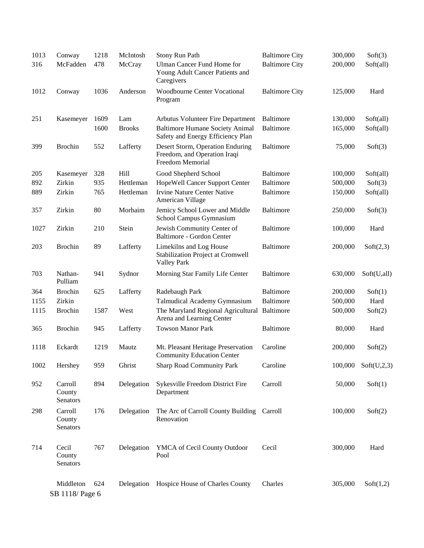| 1013 | Conway                        | 1218 | McIntosh      | Stony Run Path                                                                       | <b>Baltimore City</b> | 300,000 | Soft(3)     |
|------|-------------------------------|------|---------------|--------------------------------------------------------------------------------------|-----------------------|---------|-------------|
| 316  | McFadden                      | 478  | McCray        | Ulman Cancer Fund Home for<br>Young Adult Cancer Patients and<br>Caregivers          | <b>Baltimore City</b> | 200,000 | Soft(all)   |
| 1012 | Conway                        | 1036 | Anderson      | <b>Woodbourne Center Vocational</b><br>Program                                       | <b>Baltimore City</b> | 125,000 | Hard        |
| 251  | Kasemeyer                     | 1609 | Lam           | Arbutus Volunteer Fire Department                                                    | <b>Baltimore</b>      | 130,000 | Soft(all)   |
|      |                               | 1600 | <b>Brooks</b> | <b>Baltimore Humane Society Animal</b><br>Safety and Energy Efficiency Plan          | <b>Baltimore</b>      | 165,000 | Soft(all)   |
| 399  | <b>Brochin</b>                | 552  | Lafferty      | Desert Storm, Operation Enduring<br>Freedom, and Operation Iraqi<br>Freedom Memorial | <b>Baltimore</b>      | 75,000  | Soft(3)     |
| 205  | Kasemeyer                     | 328  | Hill          | Good Shepherd School                                                                 | <b>Baltimore</b>      | 100,000 | Soft(all)   |
| 892  | Zirkin                        | 935  | Hettleman     | HopeWell Cancer Support Center                                                       | <b>Baltimore</b>      | 500,000 | Soft(3)     |
| 889  | Zirkin                        | 765  | Hettleman     | <b>Irvine Nature Center Native</b><br>American Village                               | <b>Baltimore</b>      | 150,000 | Soft(all)   |
| 357  | Zirkin                        | 80   | Morhaim       | Jemicy School Lower and Middle<br>School Campus Gymnasium                            | <b>Baltimore</b>      | 250,000 | Soft(3)     |
| 1027 | Zirkin                        | 210  | Stein         | Jewish Community Center of<br>Baltimore - Gordon Center                              | <b>Baltimore</b>      | 100,000 | Hard        |
| 203  | <b>Brochin</b>                | 89   | Lafferty      | Limekilns and Log House<br>Stabilization Project at Cromwell<br><b>Valley Park</b>   | <b>Baltimore</b>      | 200,000 | Soft(2,3)   |
| 703  | Nathan-<br>Pulliam            | 941  | Sydnor        | Morning Star Family Life Center                                                      | <b>Baltimore</b>      | 630,000 | Soft(U,all) |
| 364  | <b>Brochin</b>                | 625  | Lafferty      | Radebaugh Park                                                                       | <b>Baltimore</b>      | 200,000 | Soft(1)     |
| 1155 | Zirkin                        |      |               | Talmudical Academy Gymnasium                                                         | <b>Baltimore</b>      | 500,000 | Hard        |
| 1115 | <b>Brochin</b>                | 1587 | West          | The Maryland Regional Agricultural Baltimore<br>Arena and Learning Center            |                       | 500,000 | Soft(2)     |
| 365  | <b>Brochin</b>                | 945  | Lafferty      | <b>Towson Manor Park</b>                                                             | <b>Baltimore</b>      | 80,000  | Hard        |
| 1118 | Eckardt                       | 1219 | Mautz         | Mt. Pleasant Heritage Preservation<br><b>Community Education Center</b>              | Caroline              | 200,000 | Soft(2)     |
| 1002 | Hershey                       | 959  | Ghrist        | <b>Sharp Road Community Park</b>                                                     | Caroline              | 100,000 | Soft(U,2,3) |
| 952  | Carroll<br>County<br>Senators | 894  | Delegation    | Sykesville Freedom District Fire<br>Department                                       | Carroll               | 50,000  | Soft(1)     |
| 298  | Carroll<br>County<br>Senators | 176  | Delegation    | The Arc of Carroll County Building Carroll<br>Renovation                             |                       | 100,000 | Soft(2)     |
| 714  | Cecil<br>County<br>Senators   | 767  | Delegation    | YMCA of Cecil County Outdoor<br>Pool                                                 | Cecil                 | 300,000 | Hard        |
|      | Middleton<br>SB 1118/ Page 6  | 624  | Delegation    | Hospice House of Charles County                                                      | Charles               | 305,000 | Soft(1,2)   |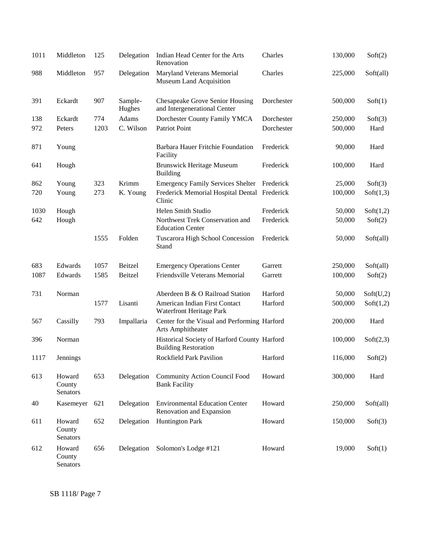| 1011 | Middleton                    | 125  | Delegation        | Indian Head Center for the Arts<br>Renovation                               | Charles    | 130,000 | Soft(2)   |
|------|------------------------------|------|-------------------|-----------------------------------------------------------------------------|------------|---------|-----------|
| 988  | Middleton                    | 957  | Delegation        | Maryland Veterans Memorial<br>Museum Land Acquisition                       | Charles    | 225,000 | Soft(all) |
| 391  | Eckardt                      | 907  | Sample-<br>Hughes | <b>Chesapeake Grove Senior Housing</b><br>and Intergenerational Center      | Dorchester | 500,000 | Soft(1)   |
| 138  | Eckardt                      | 774  | Adams             | Dorchester County Family YMCA                                               | Dorchester | 250,000 | Soft(3)   |
| 972  | Peters                       | 1203 | C. Wilson         | Patriot Point                                                               | Dorchester | 500,000 | Hard      |
| 871  | Young                        |      |                   | Barbara Hauer Fritchie Foundation<br>Facility                               | Frederick  | 90,000  | Hard      |
| 641  | Hough                        |      |                   | <b>Brunswick Heritage Museum</b><br><b>Building</b>                         | Frederick  | 100,000 | Hard      |
| 862  | Young                        | 323  | Krimm             | <b>Emergency Family Services Shelter</b>                                    | Frederick  | 25,000  | Soft(3)   |
| 720  | Young                        | 273  | K. Young          | Frederick Memorial Hospital Dental Frederick<br>Clinic                      |            | 100,000 | Soft(1,3) |
| 1030 | Hough                        |      |                   | Helen Smith Studio                                                          | Frederick  | 50,000  | Soft(1,2) |
| 642  | Hough                        |      |                   | Northwest Trek Conservation and<br><b>Education Center</b>                  | Frederick  | 50,000  | Soft(2)   |
|      |                              | 1555 | Folden            | Tuscarora High School Concession<br>Stand                                   | Frederick  | 50,000  | Soft(all) |
| 683  | Edwards                      | 1057 | Beitzel           | <b>Emergency Operations Center</b>                                          | Garrett    | 250,000 | Soft(all) |
| 1087 | Edwards                      | 1585 | Beitzel           | Friendsville Veterans Memorial                                              | Garrett    | 100,000 | Soft(2)   |
| 731  | Norman                       |      |                   | Aberdeen B & O Railroad Station                                             | Harford    | 50,000  | Soft(U,2) |
|      |                              | 1577 | Lisanti           | American Indian First Contact<br>Waterfront Heritage Park                   | Harford    | 500,000 | Soft(1,2) |
| 567  | Cassilly                     | 793  | Impallaria        | Center for the Visual and Performing Harford<br>Arts Amphitheater           |            | 200,000 | Hard      |
| 396  | Norman                       |      |                   | Historical Society of Harford County Harford<br><b>Building Restoration</b> |            | 100,000 | Soft(2,3) |
| 1117 | Jennings                     |      |                   | Rockfield Park Pavilion                                                     | Harford    | 116,000 | Soft(2)   |
| 613  | Howard<br>County<br>Senators | 653  | Delegation        | <b>Community Action Council Food</b><br><b>Bank Facility</b>                | Howard     | 300,000 | Hard      |
| 40   | Kasemeyer                    | 621  | Delegation        | <b>Environmental Education Center</b><br>Renovation and Expansion           | Howard     | 250,000 | Soft(all) |
| 611  | Howard<br>County<br>Senators | 652  | Delegation        | <b>Huntington Park</b>                                                      | Howard     | 150,000 | Soft(3)   |
| 612  | Howard<br>County<br>Senators | 656  | Delegation        | Solomon's Lodge #121                                                        | Howard     | 19,000  | Soft(1)   |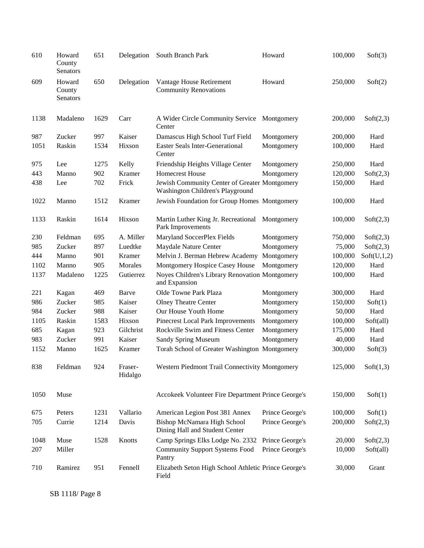| 610  | Howard<br>County<br>Senators | 651  | Delegation         | South Branch Park                                                                 | Howard          | 100,000 | Soft(3)     |
|------|------------------------------|------|--------------------|-----------------------------------------------------------------------------------|-----------------|---------|-------------|
| 609  | Howard<br>County<br>Senators | 650  | Delegation         | Vantage House Retirement<br><b>Community Renovations</b>                          | Howard          | 250,000 | Soft(2)     |
| 1138 | Madaleno                     | 1629 | Carr               | A Wider Circle Community Service<br>Center                                        | Montgomery      | 200,000 | Soft(2,3)   |
| 987  | Zucker                       | 997  | Kaiser             | Damascus High School Turf Field                                                   | Montgomery      | 200,000 | Hard        |
| 1051 | Raskin                       | 1534 | Hixson             | <b>Easter Seals Inter-Generational</b><br>Center                                  | Montgomery      | 100,000 | Hard        |
| 975  | Lee                          | 1275 | Kelly              | Friendship Heights Village Center                                                 | Montgomery      | 250,000 | Hard        |
| 443  | Manno                        | 902  | Kramer             | <b>Homecrest House</b>                                                            | Montgomery      | 120,000 | Soft(2,3)   |
| 438  | Lee                          | 702  | Frick              | Jewish Community Center of Greater Montgomery<br>Washington Children's Playground |                 | 150,000 | Hard        |
| 1022 | Manno                        | 1512 | Kramer             | Jewish Foundation for Group Homes Montgomery                                      |                 | 100,000 | Hard        |
| 1133 | Raskin                       | 1614 | Hixson             | Martin Luther King Jr. Recreational Montgomery<br>Park Improvements               |                 | 100,000 | Soft(2,3)   |
| 230  | Feldman                      | 695  | A. Miller          | Maryland SoccerPlex Fields                                                        | Montgomery      | 750,000 | Soft(2,3)   |
| 985  | Zucker                       | 897  | Luedtke            | Maydale Nature Center                                                             | Montgomery      | 75,000  | Soft(2,3)   |
| 444  | Manno                        | 901  | Kramer             | Melvin J. Berman Hebrew Academy                                                   | Montgomery      | 100,000 | Soft(U,1,2) |
| 1102 | Manno                        | 905  | Morales            | Montgomery Hospice Casey House                                                    | Montgomery      | 120,000 | Hard        |
| 1137 | Madaleno                     | 1225 | Gutierrez          | Noyes Children's Library Renovation Montgomery<br>and Expansion                   |                 | 100,000 | Hard        |
| 221  | Kagan                        | 469  | Barve              | Olde Towne Park Plaza                                                             | Montgomery      | 300,000 | Hard        |
| 986  | Zucker                       | 985  | Kaiser             | <b>Olney Theatre Center</b>                                                       | Montgomery      | 150,000 | Soft(1)     |
| 984  | Zucker                       | 988  | Kaiser             | Our House Youth Home                                                              | Montgomery      | 50,000  | Hard        |
| 1105 | Raskin                       | 1583 | Hixson             | Pinecrest Local Park Improvements                                                 | Montgomery      | 100,000 | Soft(all)   |
| 685  | Kagan                        | 923  | Gilchrist          | Rockville Swim and Fitness Center                                                 | Montgomery      | 175,000 | Hard        |
| 983  | Zucker                       | 991  | Kaiser             | <b>Sandy Spring Museum</b>                                                        | Montgomery      | 40,000  | Hard        |
| 1152 | Manno                        | 1625 | Kramer             | Torah School of Greater Washington Montgomery                                     |                 | 300,000 | Soft(3)     |
| 838  | Feldman                      | 924  | Fraser-<br>Hidalgo | Western Piedmont Trail Connectivity Montgomery                                    |                 | 125,000 | Soft(1,3)   |
| 1050 | Muse                         |      |                    | Accokeek Volunteer Fire Department Prince George's                                |                 | 150,000 | Soft(1)     |
| 675  | Peters                       | 1231 | Vallario           | American Legion Post 381 Annex                                                    | Prince George's | 100,000 | Soft(1)     |
| 705  | Currie                       | 1214 | Davis              | Bishop McNamara High School<br>Dining Hall and Student Center                     | Prince George's | 200,000 | Soft(2,3)   |
| 1048 | Muse                         | 1528 | Knotts             | Camp Springs Elks Lodge No. 2332                                                  | Prince George's | 20,000  | Soft(2,3)   |
| 207  | Miller                       |      |                    | <b>Community Support Systems Food</b><br>Pantry                                   | Prince George's | 10,000  | Soft(all)   |
| 710  | Ramirez                      | 951  | Fennell            | Elizabeth Seton High School Athletic Prince George's<br>Field                     |                 | 30,000  | Grant       |

SB 1118/ Page 8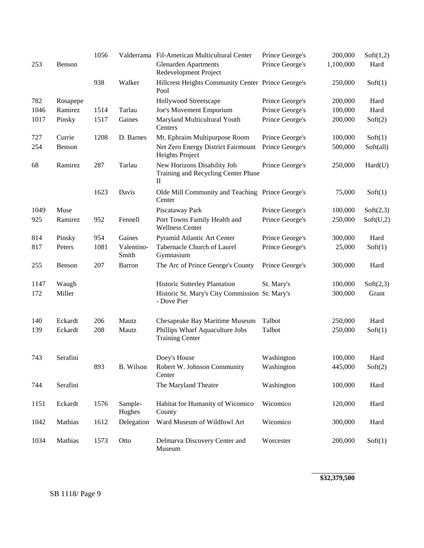|      |          | 1056 |                     | Valderrama Fil-American Multicultural Center                            | Prince George's | 200,000   | Soft(1,2) |
|------|----------|------|---------------------|-------------------------------------------------------------------------|-----------------|-----------|-----------|
| 253  | Benson   |      |                     | <b>Glenarden Apartments</b><br>Redevelopment Project                    | Prince George's | 1,100,000 | Hard      |
|      |          | 938  | Walker              | Hillcrest Heights Community Center Prince George's<br>Pool              |                 | 250,000   | Soft(1)   |
| 782  | Rosapepe |      |                     | Hollywood Streetscape                                                   | Prince George's | 200,000   | Hard      |
| 1046 | Ramirez  | 1514 | Tarlau              | Joe's Movement Emporium                                                 | Prince George's | 100,000   | Hard      |
| 1017 | Pinsky   | 1517 | Gaines              | Maryland Multicultural Youth<br>Centers                                 | Prince George's | 200,000   | Soft(2)   |
| 727  | Currie   | 1208 | D. Barnes           | Mt. Ephraim Multipurpose Room                                           | Prince George's | 100,000   | Soft(1)   |
| 254  | Benson   |      |                     | Net Zero Energy District Fairmount<br>Heights Project                   | Prince George's | 500,000   | Soft(all) |
| 68   | Ramirez  | 287  | Tarlau              | New Horizons Disability Job<br>Training and Recycling Center Phase<br>П | Prince George's | 250,000   | Hard(U)   |
|      |          | 1623 | Davis               | Olde Mill Community and Teaching Prince George's<br>Center              |                 | 75,000    | Soft(1)   |
| 1049 | Muse     |      |                     | Piscataway Park                                                         | Prince George's | 100,000   | Soft(2,3) |
| 925  | Ramirez  | 952  | Fennell             | Port Towns Family Health and<br><b>Wellness Center</b>                  | Prince George's | 250,000   | Soft(U,2) |
| 814  | Pinsky   | 954  | Gaines              | Pyramid Atlantic Art Center                                             | Prince George's | 300,000   | Hard      |
| 817  | Peters   | 1081 | Valentino-<br>Smith | Tabernacle Church of Laurel<br>Gymnasium                                | Prince George's | 25,000    | Soft(1)   |
| 255  | Benson   | 207  | Barron              | The Arc of Prince George's County                                       | Prince George's | 300,000   | Hard      |
| 1147 | Waugh    |      |                     | Historic Sotterley Plantation                                           | St. Mary's      | 100,000   | Soft(2,3) |
| 172  | Miller   |      |                     | Historic St. Mary's City Commission St. Mary's<br>- Dove Pier           |                 | 300,000   | Grant     |
| 140  | Eckardt  | 206  | Mautz               | Chesapeake Bay Maritime Museum                                          | Talbot          | 250,000   | Hard      |
| 139  | Eckardt  | 208  | Mautz               | Phillips Wharf Aquaculture Jobs<br><b>Training Center</b>               | Talbot          | 250,000   | Soft(1)   |
| 743  | Serafini |      |                     | Doey's House                                                            | Washington      | 100,000   | Hard      |
|      |          | 893  | B. Wilson           | Robert W. Johnson Community<br>Center                                   | Washington      | 445,000   | Soft(2)   |
| 744  | Serafini |      |                     | The Maryland Theatre                                                    | Washington      | 100,000   | Hard      |
| 1151 | Eckardt  | 1576 | Sample-<br>Hughes   | Habitat for Humanity of Wicomico<br>County                              | Wicomico        | 120,000   | Hard      |
| 1042 | Mathias  | 1612 | Delegation          | Ward Museum of Wildfowl Art                                             | Wicomico        | 300,000   | Hard      |
| 1034 | Mathias  | 1573 | Otto                | Delmarva Discovery Center and<br>Museum                                 | Worcester       | 200,000   | Soft(1)   |